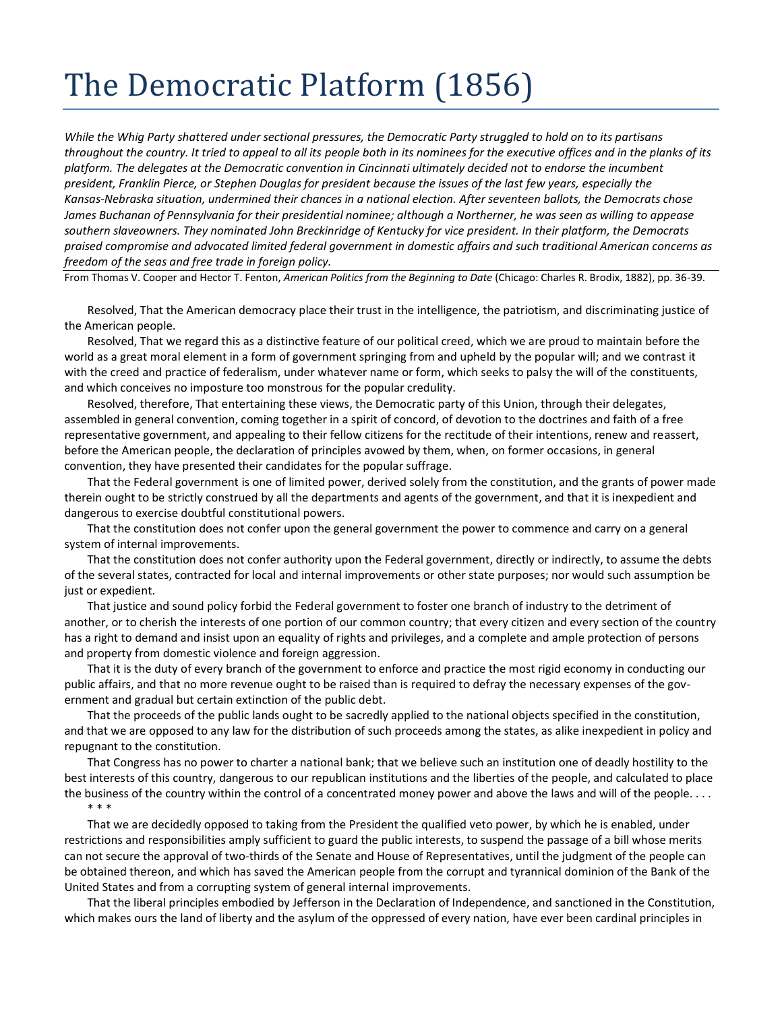## The Democratic Platform (1856)

*While the Whig Party shattered under sectional pressures, the Democratic Party struggled to hold on to its partisans throughout the country. It tried to appeal to all its people both in its nominees for the executive offices and in the planks of its platform. The delegates at the Democratic convention in Cincinnati ultimately decided not to endorse the incumbent president, Franklin Pierce, or Stephen Douglas for president because the issues of the last few years, especially the Kansas-Nebraska situation, undermined their chances in a national election. After seventeen ballots, the Democrats chose James Buchanan of Pennsylvania for their presidential nominee; although a Northerner, he was seen as willing to appease southern slaveowners. They nominated John Breckinridge of Kentucky for vice president. In their platform, the Democrats praised compromise and advocated limited federal government in domestic affairs and such traditional American concerns as freedom of the seas and free trade in foreign policy.*

From Thomas V. Cooper and Hector T. Fenton, *American Politics from the Beginning to Date* (Chicago: Charles R. Brodix, 1882), pp. 36-39.

Resolved, That the American democracy place their trust in the intelligence, the patriotism, and discriminating justice of the American people.

Resolved, That we regard this as a distinctive feature of our political creed, which we are proud to maintain before the world as a great moral element in a form of government springing from and upheld by the popular will; and we contrast it with the creed and practice of federalism, under whatever name or form, which seeks to palsy the will of the constituents, and which conceives no imposture too monstrous for the popular credulity.

Resolved, therefore, That entertaining these views, the Democratic party of this Union, through their delegates, assembled in general convention, coming together in a spirit of concord, of devotion to the doctrines and faith of a free representative government, and appealing to their fellow citizens for the rectitude of their intentions, renew and reassert, before the American people, the declaration of principles avowed by them, when, on former occasions, in general convention, they have presented their candidates for the popular suffrage.

That the Federal government is one of limited power, derived solely from the constitution, and the grants of power made therein ought to be strictly construed by all the departments and agents of the government, and that it is inexpedient and dangerous to exercise doubtful constitutional powers.

That the constitution does not confer upon the general government the power to commence and carry on a general system of internal improvements.

That the constitution does not confer authority upon the Federal government, directly or indirectly, to assume the debts of the several states, contracted for local and internal improvements or other state purposes; nor would such assumption be just or expedient.

That justice and sound policy forbid the Federal government to foster one branch of industry to the detriment of another, or to cherish the interests of one portion of our common country; that every citizen and every section of the country has a right to demand and insist upon an equality of rights and privileges, and a complete and ample protection of persons and property from domestic violence and foreign aggression.

That it is the duty of every branch of the government to enforce and practice the most rigid economy in conducting our public affairs, and that no more revenue ought to be raised than is required to defray the necessary expenses of the government and gradual but certain extinction of the public debt.

That the proceeds of the public lands ought to be sacredly applied to the national objects specified in the constitution, and that we are opposed to any law for the distribution of such proceeds among the states, as alike inexpedient in policy and repugnant to the constitution.

That Congress has no power to charter a national bank; that we believe such an institution one of deadly hostility to the best interests of this country, dangerous to our republican institutions and the liberties of the people, and calculated to place the business of the country within the control of a concentrated money power and above the laws and will of the people. . . . \* \* \*

That we are decidedly opposed to taking from the President the qualified veto power, by which he is enabled, under restrictions and responsibilities amply sufficient to guard the public interests, to suspend the passage of a bill whose merits can not secure the approval of two-thirds of the Senate and House of Representatives, until the judgment of the people can be obtained thereon, and which has saved the American people from the corrupt and tyrannical dominion of the Bank of the United States and from a corrupting system of general internal improvements.

That the liberal principles embodied by Jefferson in the Declaration of Independence, and sanctioned in the Constitution, which makes ours the land of liberty and the asylum of the oppressed of every nation, have ever been cardinal principles in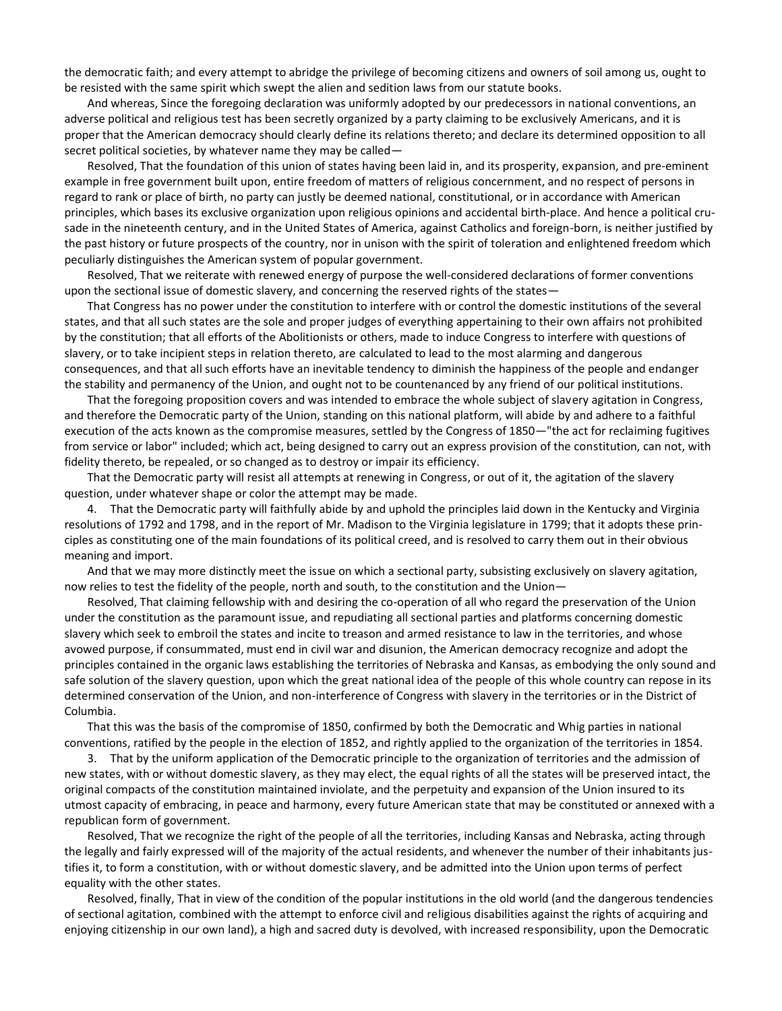the democratic faith; and every attempt to abridge the privilege of becoming citizens and owners of soil among us, ought to be resisted with the same spirit which swept the alien and sedition laws from our statute books.

And whereas, Since the foregoing declaration was uniformly adopted by our predecessors in national conventions, an adverse political and religious test has been secretly organized by a party claiming to be exclusively Americans, and it is proper that the American democracy should clearly define its relations thereto; and declare its determined opposition to all secret political societies, by whatever name they may be called—

Resolved, That the foundation of this union of states having been laid in, and its prosperity, expansion, and pre-eminent example in free government built upon, entire freedom of matters of religious concernment, and no respect of persons in regard to rank or place of birth, no party can justly be deemed national, constitutional, or in accordance with American principles, which bases its exclusive organization upon religious opinions and accidental birth-place. And hence a political crusade in the nineteenth century, and in the United States of America, against Catholics and foreign-born, is neither justified by the past history or future prospects of the country, nor in unison with the spirit of toleration and enlightened freedom which peculiarly distinguishes the American system of popular government.

Resolved, That we reiterate with renewed energy of purpose the well-considered declarations of former conventions upon the sectional issue of domestic slavery, and concerning the reserved rights of the states—

That Congress has no power under the constitution to interfere with or control the domestic institutions of the several states, and that all such states are the sole and proper judges of everything appertaining to their own affairs not prohibited by the constitution; that all efforts of the Abolitionists or others, made to induce Congress to interfere with questions of slavery, or to take incipient steps in relation thereto, are calculated to lead to the most alarming and dangerous consequences, and that all such efforts have an inevitable tendency to diminish the happiness of the people and endanger the stability and permanency of the Union, and ought not to be countenanced by any friend of our political institutions.

That the foregoing proposition covers and was intended to embrace the whole subject of slavery agitation in Congress, and therefore the Democratic party of the Union, standing on this national platform, will abide by and adhere to a faithful execution of the acts known as the compromise measures, settled by the Congress of 1850—"the act for reclaiming fugitives from service or labor" included; which act, being designed to carry out an express provision of the constitution, can not, with fidelity thereto, be repealed, or so changed as to destroy or impair its efficiency.

That the Democratic party will resist all attempts at renewing in Congress, or out of it, the agitation of the slavery question, under whatever shape or color the attempt may be made.

4. That the Democratic party will faithfully abide by and uphold the principles laid down in the Kentucky and Virginia resolutions of 1792 and 1798, and in the report of Mr. Madison to the Virginia legislature in 1799; that it adopts these principles as constituting one of the main foundations of its political creed, and is resolved to carry them out in their obvious meaning and import.

And that we may more distinctly meet the issue on which a sectional party, subsisting exclusively on slavery agitation, now relies to test the fidelity of the people, north and south, to the constitution and the Union—

Resolved, That claiming fellowship with and desiring the co-operation of all who regard the preservation of the Union under the constitution as the paramount issue, and repudiating all sectional parties and platforms concerning domestic slavery which seek to embroil the states and incite to treason and armed resistance to law in the territories, and whose avowed purpose, if consummated, must end in civil war and disunion, the American democracy recognize and adopt the principles contained in the organic laws establishing the territories of Nebraska and Kansas, as embodying the only sound and safe solution of the slavery question, upon which the great national idea of the people of this whole country can repose in its determined conservation of the Union, and non-interference of Congress with slavery in the territories or in the District of Columbia.

That this was the basis of the compromise of 1850, confirmed by both the Democratic and Whig parties in national conventions, ratified by the people in the election of 1852, and rightly applied to the organization of the territories in 1854.

3. That by the uniform application of the Democratic principle to the organization of territories and the admission of new states, with or without domestic slavery, as they may elect, the equal rights of all the states will be preserved intact, the original compacts of the constitution maintained inviolate, and the perpetuity and expansion of the Union insured to its utmost capacity of embracing, in peace and harmony, every future American state that may be constituted or annexed with a republican form of government.

Resolved, That we recognize the right of the people of all the territories, including Kansas and Nebraska, acting through the legally and fairly expressed will of the majority of the actual residents, and whenever the number of their inhabitants justifies it, to form a constitution, with or without domestic slavery, and be admitted into the Union upon terms of perfect equality with the other states.

Resolved, finally, That in view of the condition of the popular institutions in the old world (and the dangerous tendencies of sectional agitation, combined with the attempt to enforce civil and religious disabilities against the rights of acquiring and enjoying citizenship in our own land), a high and sacred duty is devolved, with increased responsibility, upon the Democratic